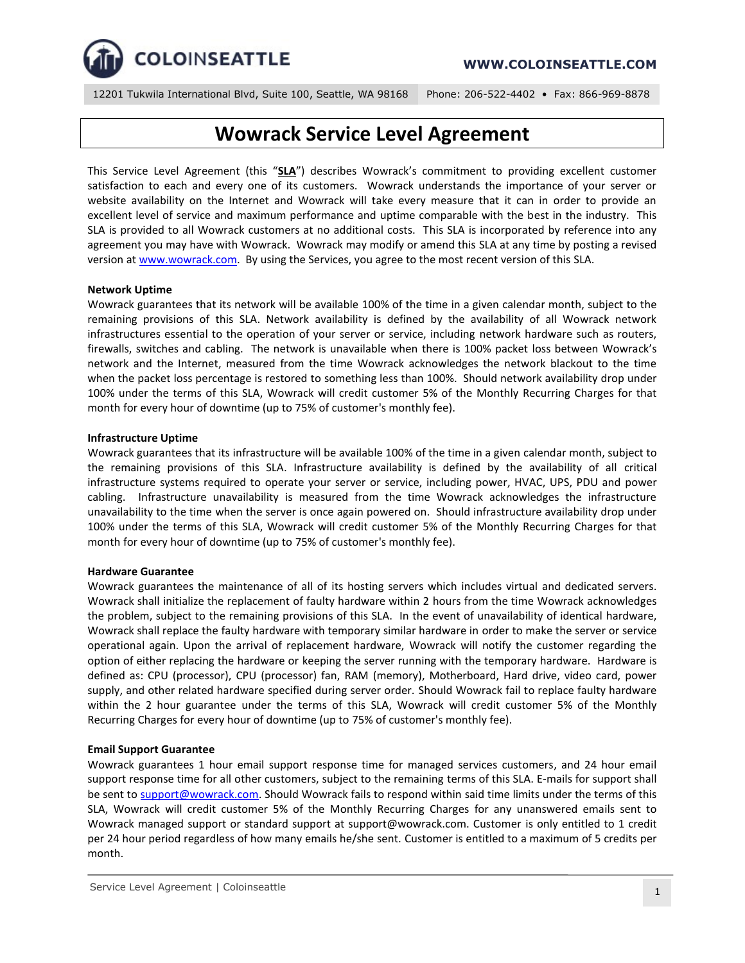

12201 Tukwila International Blvd, Suite 100, Seattle, WA 98168 Phone: 206-522-4402 • Fax: 866-969-8878

# **Wowrack Service Level Agreement**

This Service Level Agreement (this "**SLA**") describes Wowrack's commitment to providing excellent customer satisfaction to each and every one of its customers. Wowrack understands the importance of your server or website availability on the Internet and Wowrack will take every measure that it can in order to provide an excellent level of service and maximum performance and uptime comparable with the best in the industry. This SLA is provided to all Wowrack customers at no additional costs. This SLA is incorporated by reference into any agreement you may have with Wowrack. Wowrack may modify or amend this SLA at any time by posting a revised version a[t www.wowrack.com.](http://www.wowrack.com/) By using the Services, you agree to the most recent version of this SLA.

## **Network Uptime**

Wowrack guarantees that its network will be available 100% of the time in a given calendar month, subject to the remaining provisions of this SLA. Network availability is defined by the availability of all Wowrack network infrastructures essential to the operation of your server or service, including network hardware such as routers, firewalls, switches and cabling. The network is unavailable when there is 100% packet loss between Wowrack's network and the Internet, measured from the time Wowrack acknowledges the network blackout to the time when the packet loss percentage is restored to something less than 100%. Should network availability drop under 100% under the terms of this SLA, Wowrack will credit customer 5% of the Monthly Recurring Charges for that month for every hour of downtime (up to 75% of customer's monthly fee).

### **Infrastructure Uptime**

Wowrack guarantees that its infrastructure will be available 100% of the time in a given calendar month, subject to the remaining provisions of this SLA. Infrastructure availability is defined by the availability of all critical infrastructure systems required to operate your server or service, including power, HVAC, UPS, PDU and power cabling. Infrastructure unavailability is measured from the time Wowrack acknowledges the infrastructure unavailability to the time when the server is once again powered on. Should infrastructure availability drop under 100% under the terms of this SLA, Wowrack will credit customer 5% of the Monthly Recurring Charges for that month for every hour of downtime (up to 75% of customer's monthly fee).

# **Hardware Guarantee**

Wowrack guarantees the maintenance of all of its hosting servers which includes virtual and dedicated servers. Wowrack shall initialize the replacement of faulty hardware within 2 hours from the time Wowrack acknowledges the problem, subject to the remaining provisions of this SLA. In the event of unavailability of identical hardware, Wowrack shall replace the faulty hardware with temporary similar hardware in order to make the server or service operational again. Upon the arrival of replacement hardware, Wowrack will notify the customer regarding the option of either replacing the hardware or keeping the server running with the temporary hardware. Hardware is defined as: CPU (processor), CPU (processor) fan, RAM (memory), Motherboard, Hard drive, video card, power supply, and other related hardware specified during server order. Should Wowrack fail to replace faulty hardware within the 2 hour guarantee under the terms of this SLA, Wowrack will credit customer 5% of the Monthly Recurring Charges for every hour of downtime (up to 75% of customer's monthly fee).

# **Email Support Guarantee**

Wowrack guarantees 1 hour email support response time for managed services customers, and 24 hour email support response time for all other customers, subject to the remaining terms of this SLA. E-mails for support shall be sent to [support@wowrack.com.](mailto:support@wowrack.com) Should Wowrack fails to respond within said time limits under the terms of this SLA, Wowrack will credit customer 5% of the Monthly Recurring Charges for any unanswered emails sent to Wowrack managed support or standard support at support@wowrack.com. Customer is only entitled to 1 credit per 24 hour period regardless of how many emails he/she sent. Customer is entitled to a maximum of 5 credits per month.